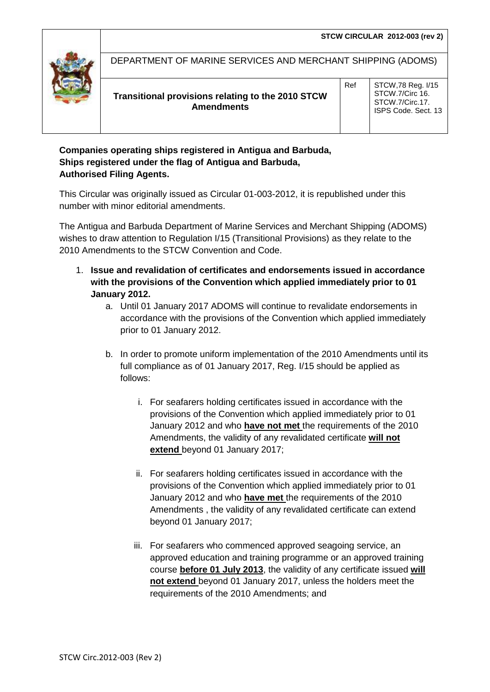

DEPARTMENT OF MARINE SERVICES AND MERCHANT SHIPPING (ADOMS)

## **Transitional provisions relating to the 2010 STCW Amendments**

Ref | STCW, 78 Reg. 1/15 STCW.7/Circ 16. STCW.7/Circ.17. ISPS Code. Sect. 13

## **Companies operating ships registered in Antigua and Barbuda, Ships registered under the flag of Antigua and Barbuda, Authorised Filing Agents.**

This Circular was originally issued as Circular 01-003-2012, it is republished under this number with minor editorial amendments.

The Antigua and Barbuda Department of Marine Services and Merchant Shipping (ADOMS) wishes to draw attention to Regulation I/15 (Transitional Provisions) as they relate to the 2010 Amendments to the STCW Convention and Code.

- 1. **Issue and revalidation of certificates and endorsements issued in accordance with the provisions of the Convention which applied immediately prior to 01 January 2012.**
	- a. Until 01 January 2017 ADOMS will continue to revalidate endorsements in accordance with the provisions of the Convention which applied immediately prior to 01 January 2012.
	- b. In order to promote uniform implementation of the 2010 Amendments until its full compliance as of 01 January 2017, Reg. I/15 should be applied as follows:
		- i. For seafarers holding certificates issued in accordance with the provisions of the Convention which applied immediately prior to 01 January 2012 and who **have not met** the requirements of the 2010 Amendments, the validity of any revalidated certificate **will not extend** beyond 01 January 2017;
		- ii. For seafarers holding certificates issued in accordance with the provisions of the Convention which applied immediately prior to 01 January 2012 and who **have met** the requirements of the 2010 Amendments , the validity of any revalidated certificate can extend beyond 01 January 2017;
		- iii. For seafarers who commenced approved seagoing service, an approved education and training programme or an approved training course **before 01 July 2013**, the validity of any certificate issued **will not extend** beyond 01 January 2017, unless the holders meet the requirements of the 2010 Amendments; and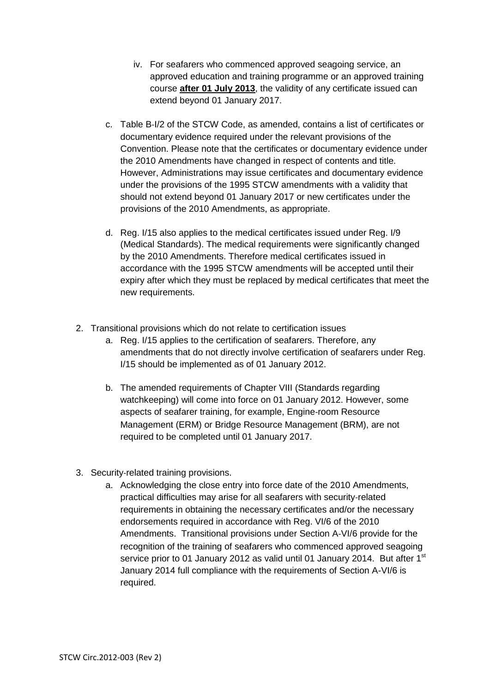- iv. For seafarers who commenced approved seagoing service, an approved education and training programme or an approved training course **after 01 July 2013**, the validity of any certificate issued can extend beyond 01 January 2017.
- c. Table B‐I/2 of the STCW Code, as amended, contains a list of certificates or documentary evidence required under the relevant provisions of the Convention. Please note that the certificates or documentary evidence under the 2010 Amendments have changed in respect of contents and title. However, Administrations may issue certificates and documentary evidence under the provisions of the 1995 STCW amendments with a validity that should not extend beyond 01 January 2017 or new certificates under the provisions of the 2010 Amendments, as appropriate.
- d. Reg. I/15 also applies to the medical certificates issued under Reg. I/9 (Medical Standards). The medical requirements were significantly changed by the 2010 Amendments. Therefore medical certificates issued in accordance with the 1995 STCW amendments will be accepted until their expiry after which they must be replaced by medical certificates that meet the new requirements.
- 2. Transitional provisions which do not relate to certification issues
	- a. Reg. I/15 applies to the certification of seafarers. Therefore, any amendments that do not directly involve certification of seafarers under Reg. I/15 should be implemented as of 01 January 2012.
	- b. The amended requirements of Chapter VIII (Standards regarding watchkeeping) will come into force on 01 January 2012. However, some aspects of seafarer training, for example, Engine‐room Resource Management (ERM) or Bridge Resource Management (BRM), are not required to be completed until 01 January 2017.
- 3. Security‐related training provisions.
	- a. Acknowledging the close entry into force date of the 2010 Amendments, practical difficulties may arise for all seafarers with security‐related requirements in obtaining the necessary certificates and/or the necessary endorsements required in accordance with Reg. VI/6 of the 2010 Amendments. Transitional provisions under Section A‐VI/6 provide for the recognition of the training of seafarers who commenced approved seagoing service prior to 01 January 2012 as valid until 01 January 2014. But after 1<sup>st</sup> January 2014 full compliance with the requirements of Section A-VI/6 is required.